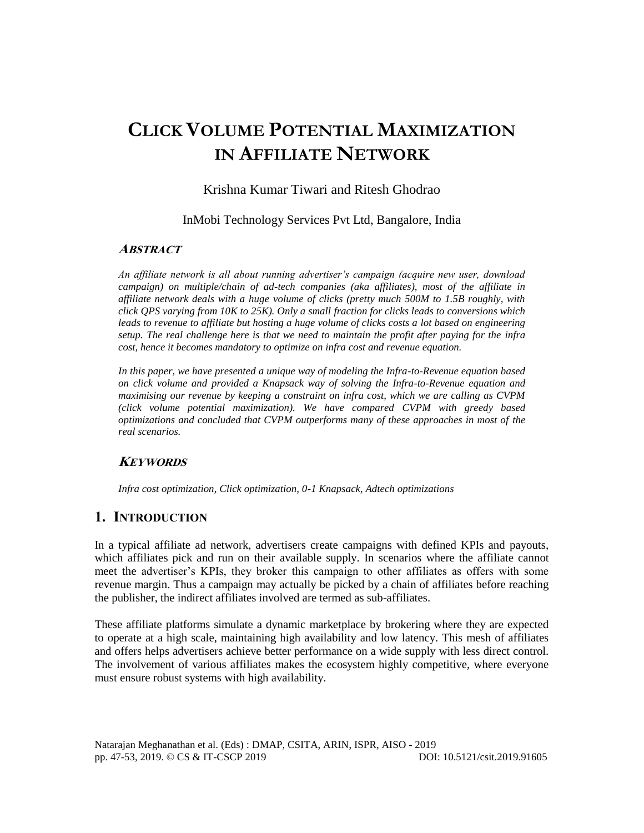# **CLICK VOLUME POTENTIAL MAXIMIZATION IN AFFILIATE NETWORK**

# Krishna Kumar Tiwari and Ritesh Ghodrao

InMobi Technology Services Pvt Ltd, Bangalore, India

## **ABSTRACT**

*An affiliate network is all about running advertiser's campaign (acquire new user, download campaign) on multiple/chain of ad-tech companies (aka affiliates), most of the affiliate in affiliate network deals with a huge volume of clicks (pretty much 500M to 1.5B roughly, with click QPS varying from 10K to 25K). Only a small fraction for clicks leads to conversions which leads to revenue to affiliate but hosting a huge volume of clicks costs a lot based on engineering setup. The real challenge here is that we need to maintain the profit after paying for the infra cost, hence it becomes mandatory to optimize on infra cost and revenue equation.*

*In this paper, we have presented a unique way of modeling the Infra-to-Revenue equation based on click volume and provided a Knapsack way of solving the Infra-to-Revenue equation and maximising our revenue by keeping a constraint on infra cost, which we are calling as CVPM (click volume potential maximization). We have compared CVPM with greedy based optimizations and concluded that CVPM outperforms many of these approaches in most of the real scenarios.*

# **KEYWORDS**

*Infra cost optimization, Click optimization, 0-1 Knapsack, Adtech optimizations*

# **1. INTRODUCTION**

In a typical affiliate ad network, advertisers create campaigns with defined KPIs and payouts, which affiliates pick and run on their available supply. In scenarios where the affiliate cannot meet the advertiser's KPIs, they broker this campaign to other affiliates as offers with some revenue margin. Thus a campaign may actually be picked by a chain of affiliates before reaching the publisher, the indirect affiliates involved are termed as sub-affiliates.

These affiliate platforms simulate a dynamic marketplace by brokering where they are expected to operate at a high scale, maintaining high availability and low latency. This mesh of affiliates and offers helps advertisers achieve better performance on a wide supply with less direct control. The involvement of various affiliates makes the ecosystem highly competitive, where everyone must ensure robust systems with high availability.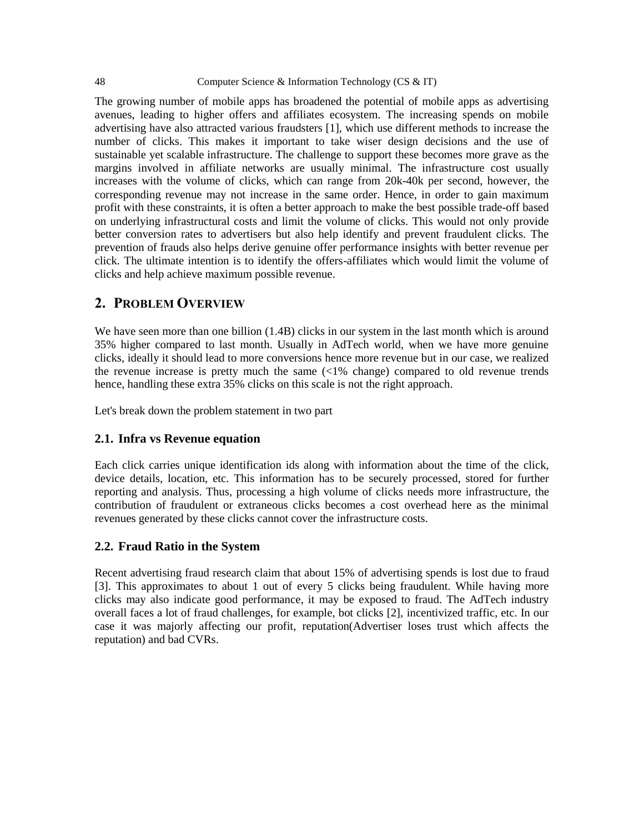#### 48 Computer Science & Information Technology (CS & IT)

The growing number of mobile apps has broadened the potential of mobile apps as advertising avenues, leading to higher offers and affiliates ecosystem. The increasing spends on mobile advertising have also attracted various fraudsters [1], which use different methods to increase the number of clicks. This makes it important to take wiser design decisions and the use of sustainable yet scalable infrastructure. The challenge to support these becomes more grave as the margins involved in affiliate networks are usually minimal. The infrastructure cost usually increases with the volume of clicks, which can range from 20k-40k per second, however, the corresponding revenue may not increase in the same order. Hence, in order to gain maximum profit with these constraints, it is often a better approach to make the best possible trade-off based on underlying infrastructural costs and limit the volume of clicks. This would not only provide better conversion rates to advertisers but also help identify and prevent fraudulent clicks. The prevention of frauds also helps derive genuine offer performance insights with better revenue per click. The ultimate intention is to identify the offers-affiliates which would limit the volume of clicks and help achieve maximum possible revenue.

# **2. PROBLEM OVERVIEW**

We have seen more than one billion  $(1.4B)$  clicks in our system in the last month which is around 35% higher compared to last month. Usually in AdTech world, when we have more genuine clicks, ideally it should lead to more conversions hence more revenue but in our case, we realized the revenue increase is pretty much the same (<1% change) compared to old revenue trends hence, handling these extra 35% clicks on this scale is not the right approach.

Let's break down the problem statement in two part

## **2.1. Infra vs Revenue equation**

Each click carries unique identification ids along with information about the time of the click, device details, location, etc. This information has to be securely processed, stored for further reporting and analysis. Thus, processing a high volume of clicks needs more infrastructure, the contribution of fraudulent or extraneous clicks becomes a cost overhead here as the minimal revenues generated by these clicks cannot cover the infrastructure costs.

## **2.2. Fraud Ratio in the System**

Recent advertising fraud research claim that about 15% of advertising spends is lost due to fraud [3]. This approximates to about 1 out of every 5 clicks being fraudulent. While having more clicks may also indicate good performance, it may be exposed to fraud. The AdTech industry overall faces a lot of fraud challenges, for example, bot clicks [2], incentivized traffic, etc. In our case it was majorly affecting our profit, reputation(Advertiser loses trust which affects the reputation) and bad CVRs.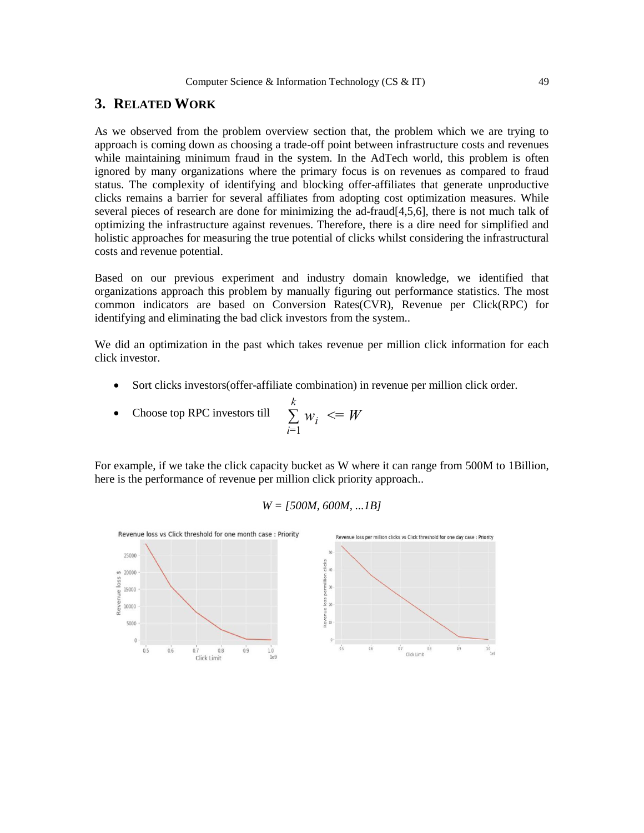# **3. RELATED WORK**

As we observed from the problem overview section that, the problem which we are trying to approach is coming down as choosing a trade-off point between infrastructure costs and revenues while maintaining minimum fraud in the system. In the AdTech world, this problem is often ignored by many organizations where the primary focus is on revenues as compared to fraud status. The complexity of identifying and blocking offer-affiliates that generate unproductive clicks remains a barrier for several affiliates from adopting cost optimization measures. While several pieces of research are done for minimizing the ad-fraud[4,5,6], there is not much talk of optimizing the infrastructure against revenues. Therefore, there is a dire need for simplified and holistic approaches for measuring the true potential of clicks whilst considering the infrastructural costs and revenue potential.

Based on our previous experiment and industry domain knowledge, we identified that organizations approach this problem by manually figuring out performance statistics. The most common indicators are based on Conversion Rates(CVR), Revenue per Click(RPC) for identifying and eliminating the bad click investors from the system..

We did an optimization in the past which takes revenue per million click information for each click investor.

Sort clicks investors(offer-affiliate combination) in revenue per million click order.

• Choose top RPC investors till 
$$
\sum_{i=1}^{k} w_i \leq W
$$

For example, if we take the click capacity bucket as W where it can range from 500M to 1Billion, here is the performance of revenue per million click priority approach..

$$
W = [500M, 600M, ... 1B]
$$

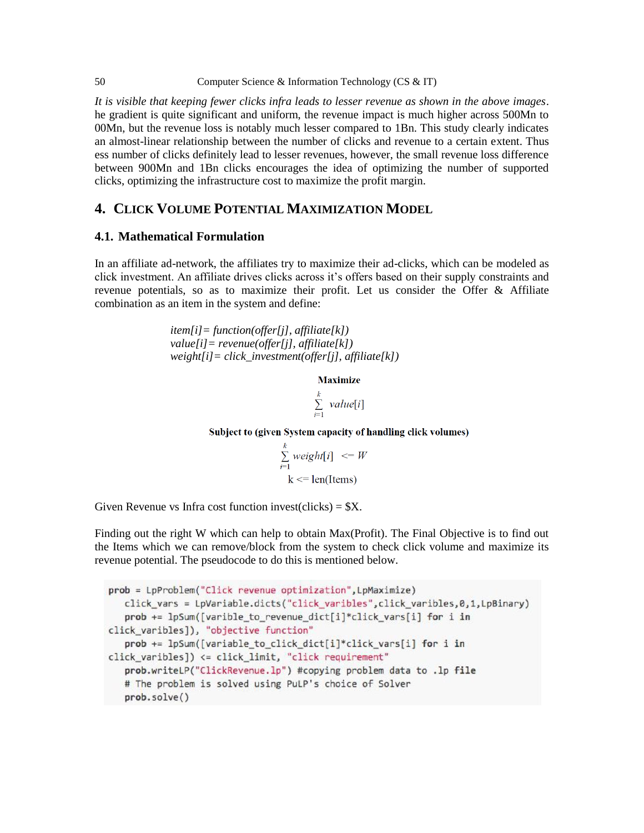#### 50 Computer Science & Information Technology (CS & IT)

*It is visible that keeping fewer clicks infra leads to lesser revenue as shown in the above images*. he gradient is quite significant and uniform, the revenue impact is much higher across 500Mn to 00Mn, but the revenue loss is notably much lesser compared to 1Bn. This study clearly indicates an almost-linear relationship between the number of clicks and revenue to a certain extent. Thus ess number of clicks definitely lead to lesser revenues, however, the small revenue loss difference between 900Mn and 1Bn clicks encourages the idea of optimizing the number of supported clicks, optimizing the infrastructure cost to maximize the profit margin.

# **4. CLICK VOLUME POTENTIAL MAXIMIZATION MODEL**

## **4.1. Mathematical Formulation**

In an affiliate ad-network, the affiliates try to maximize their ad-clicks, which can be modeled as click investment. An affiliate drives clicks across it's offers based on their supply constraints and revenue potentials, so as to maximize their profit. Let us consider the Offer & Affiliate combination as an item in the system and define:

> *item[i]= function(offer[j], affiliate[k]) value[i]= revenue(offer[j], affiliate[k]) weight[i]= click\_investment(offer[j], affiliate[k])*

> > **Maximize**

 $\sum_{i=1}^k \text{value}[i]$ 

Subject to (given System capacity of handling click volumes)

$$
\sum_{i=1}^{k} weight[i] \leq W
$$
  
k < = len(Items)

Given Revenue vs Infra cost function invest(clicks) =  $X$ .

Finding out the right W which can help to obtain Max(Profit). The Final Objective is to find out the Items which we can remove/block from the system to check click volume and maximize its revenue potential. The pseudocode to do this is mentioned below.

```
prob = LpProblem("Click revenue optimization", LpMaximize)
   click vars = LpVariable.dicts("click varibles",click varibles,0,1,LpBinary)
   prob += lpSum([varible_to_revenue_dict[i]*click_vars[i] for i in
click_varibles]), "objective function"
   prob += lpSum([variable_to_click_dict[i]*click_vars[i] for i in
click_varibles]) <= click_limit, "click requirement"
   prob.writeLP("ClickRevenue.lp") #copying problem data to .lp file
   # The problem is solved using PuLP's choice of Solver
   prob.solve()
```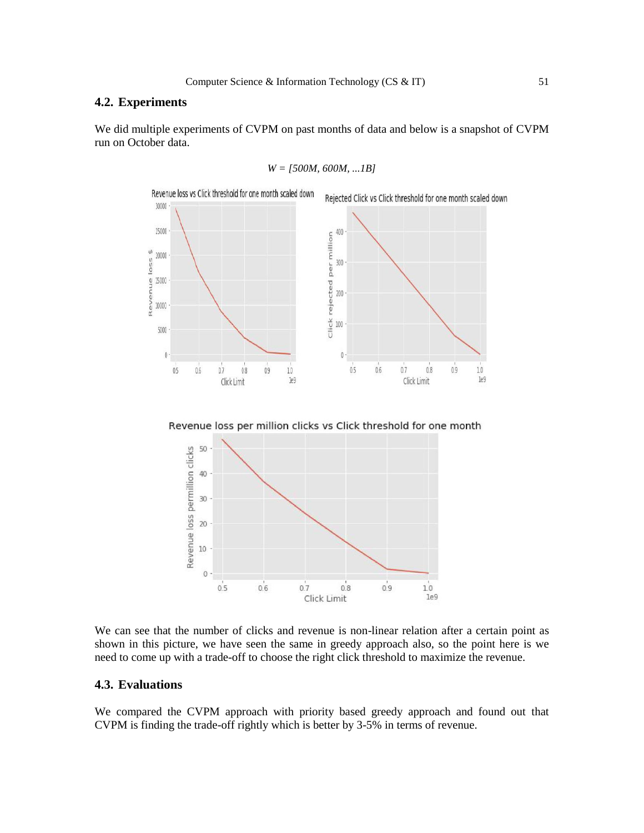## **4.2. Experiments**

We did multiple experiments of CVPM on past months of data and below is a snapshot of CVPM run on October data.





Revenue loss per million clicks vs Click threshold for one month



We can see that the number of clicks and revenue is non-linear relation after a certain point as shown in this picture, we have seen the same in greedy approach also, so the point here is we need to come up with a trade-off to choose the right click threshold to maximize the revenue.

# **4.3. Evaluations**

We compared the CVPM approach with priority based greedy approach and found out that CVPM is finding the trade-off rightly which is better by 3-5% in terms of revenue.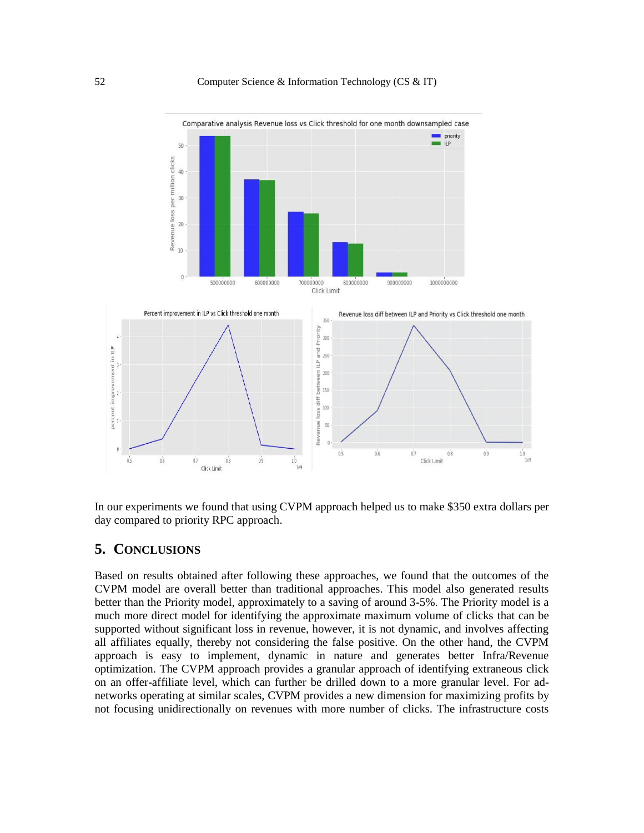

In our experiments we found that using CVPM approach helped us to make \$350 extra dollars per day compared to priority RPC approach.

# **5. CONCLUSIONS**

Based on results obtained after following these approaches, we found that the outcomes of the CVPM model are overall better than traditional approaches. This model also generated results better than the Priority model, approximately to a saving of around 3-5%. The Priority model is a much more direct model for identifying the approximate maximum volume of clicks that can be supported without significant loss in revenue, however, it is not dynamic, and involves affecting all affiliates equally, thereby not considering the false positive. On the other hand, the CVPM approach is easy to implement, dynamic in nature and generates better Infra/Revenue optimization. The CVPM approach provides a granular approach of identifying extraneous click on an offer-affiliate level, which can further be drilled down to a more granular level. For adnetworks operating at similar scales, CVPM provides a new dimension for maximizing profits by not focusing unidirectionally on revenues with more number of clicks. The infrastructure costs